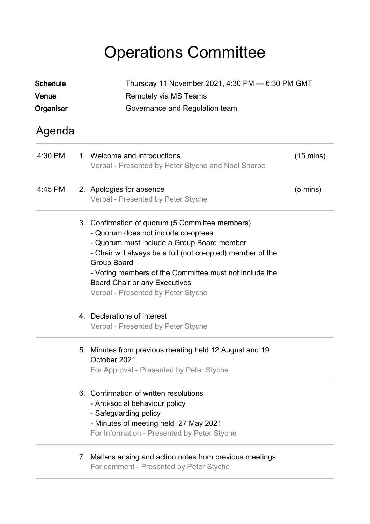## Operations Committee

| <b>Schedule</b> |  | Thursday 11 November 2021, 4:30 PM - 6:30 PM GMT<br>Remotely via MS Teams                                                                                                                                                                                                                                                                                 |                     |  |  |
|-----------------|--|-----------------------------------------------------------------------------------------------------------------------------------------------------------------------------------------------------------------------------------------------------------------------------------------------------------------------------------------------------------|---------------------|--|--|
| Venue           |  |                                                                                                                                                                                                                                                                                                                                                           |                     |  |  |
| Organiser       |  | Governance and Regulation team                                                                                                                                                                                                                                                                                                                            |                     |  |  |
| Agenda          |  |                                                                                                                                                                                                                                                                                                                                                           |                     |  |  |
| 4:30 PM         |  | 1. Welcome and introductions<br>Verbal - Presented by Peter Styche and Noel Sharpe                                                                                                                                                                                                                                                                        | $(15 \text{ mins})$ |  |  |
| 4:45 PM         |  | 2. Apologies for absence<br>Verbal - Presented by Peter Styche                                                                                                                                                                                                                                                                                            | $(5 \text{ mins})$  |  |  |
|                 |  | 3. Confirmation of quorum (5 Committee members)<br>- Quorum does not include co-optees<br>- Quorum must include a Group Board member<br>- Chair will always be a full (not co-opted) member of the<br>Group Board<br>- Voting members of the Committee must not include the<br><b>Board Chair or any Executives</b><br>Verbal - Presented by Peter Styche |                     |  |  |
|                 |  | 4. Declarations of interest<br>Verbal - Presented by Peter Styche                                                                                                                                                                                                                                                                                         |                     |  |  |
|                 |  | 5. Minutes from previous meeting held 12 August and 19<br>October 2021<br>For Approval - Presented by Peter Styche                                                                                                                                                                                                                                        |                     |  |  |
|                 |  | 6. Confirmation of written resolutions<br>- Anti-social behaviour policy<br>- Safeguarding policy<br>- Minutes of meeting held 27 May 2021<br>For Information - Presented by Peter Styche                                                                                                                                                                 |                     |  |  |
|                 |  | 7. Matters arising and action notes from previous meetings<br>For comment - Presented by Peter Styche                                                                                                                                                                                                                                                     |                     |  |  |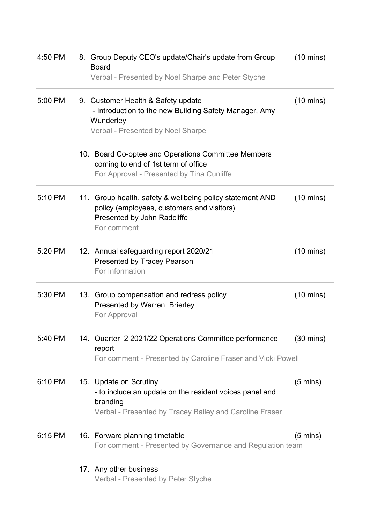| 4:50 PM | 8. Group Deputy CEO's update/Chair's update from Group<br><b>Board</b><br>Verbal - Presented by Noel Sharpe and Peter Styche                             | $(10 \text{ mins})$ |
|---------|----------------------------------------------------------------------------------------------------------------------------------------------------------|---------------------|
| 5:00 PM | 9. Customer Health & Safety update<br>- Introduction to the new Building Safety Manager, Amy<br>Wunderley<br>Verbal - Presented by Noel Sharpe           | $(10 \text{ mins})$ |
|         | 10. Board Co-optee and Operations Committee Members<br>coming to end of 1st term of office<br>For Approval - Presented by Tina Cunliffe                  |                     |
| 5:10 PM | 11. Group health, safety & wellbeing policy statement AND<br>policy (employees, customers and visitors)<br>Presented by John Radcliffe<br>For comment    | $(10 \text{ mins})$ |
| 5:20 PM | 12. Annual safeguarding report 2020/21<br><b>Presented by Tracey Pearson</b><br>For Information                                                          | $(10 \text{ mins})$ |
| 5:30 PM | 13. Group compensation and redress policy<br>Presented by Warren Brierley<br>For Approval                                                                | $(10 \text{ mins})$ |
| 5:40 PM | 14. Quarter 2 2021/22 Operations Committee performance<br>report<br>For comment - Presented by Caroline Fraser and Vicki Powell                          | $(30 \text{ mins})$ |
| 6:10 PM | 15. Update on Scrutiny<br>- to include an update on the resident voices panel and<br>branding<br>Verbal - Presented by Tracey Bailey and Caroline Fraser | $(5 \text{ mins})$  |
| 6:15 PM | 16. Forward planning timetable<br>For comment - Presented by Governance and Regulation team                                                              | $(5 \text{ mins})$  |
|         | 17. Any other business<br>Verbal - Presented by Peter Styche                                                                                             |                     |